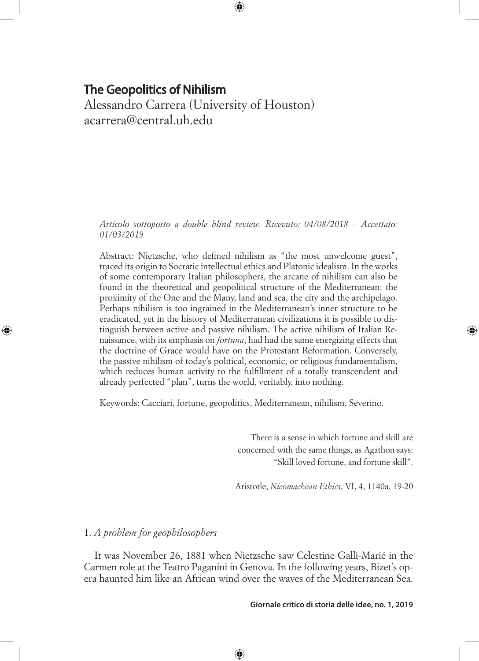Alessandro Carrera (University of Houston) acarrera@central.uh.edu

*Articolo sottoposto a double blind review. Ricevuto: 04/08/2018 – Accettato: 01/03/2019*

⊕

Abstract: Nietzsche, who defined nihilism as "the most unwelcome guest", traced its origin to Socratic intellectual ethics and Platonic idealism. In the works of some contemporary Italian philosophers, the arcane of nihilism can also be found in the theoretical and geopolitical structure of the Mediterranean: the proximity of the One and the Many, land and sea, the city and the archipelago. Perhaps nihilism is too ingrained in the Mediterranean's inner structure to be eradicated, yet in the history of Mediterranean civilizations it is possible to distinguish between active and passive nihilism. The active nihilism of Italian Renaissance, with its emphasis on *fortuna*, had had the same energizing effects that the doctrine of Grace would have on the Protestant Reformation. Conversely, the passive nihilism of today's political, economic, or religious fundamentalism, which reduces human activity to the fulfillment of a totally transcendent and already perfected "plan", turns the world, veritably, into nothing.

Keywords: Cacciari, fortune, geopolitics, Mediterranean, nihilism, Severino.

There is a sense in which fortune and skill are concerned with the same things, as Agathon says: "Skill loved fortune, and fortune skill". ◈

Aristotle, *Nicomachean Ethics*, VI, 4, 1140a, 19-20

# 1. *A problem for geophilosophers*

⊕

It was November 26, 1881 when Nietzsche saw Celestine Galli-Marié in the Carmen role at the Teatro Paganini in Genova. In the following years, Bizet's opera haunted him like an African wind over the waves of the Mediterranean Sea.

⊕

#### **Giornale critico di storia delle idee, no. 1, 2019**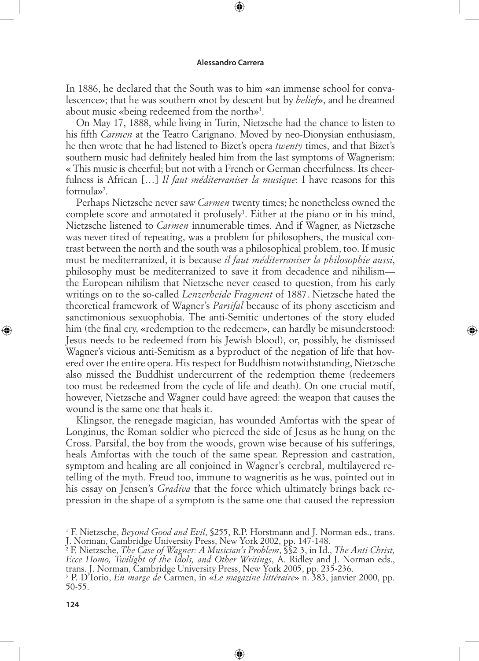⊕

In 1886, he declared that the South was to him «an immense school for convalescence»; that he was southern «not by descent but by *belief*», and he dreamed about music «being redeemed from the north»1 .

On May 17, 1888, while living in Turin, Nietzsche had the chance to listen to his fifth *Carmen* at the Teatro Carignano. Moved by neo-Dionysian enthusiasm, he then wrote that he had listened to Bizet's opera *twenty* times, and that Bizet's southern music had definitely healed him from the last symptoms of Wagnerism: « This music is cheerful; but not with a French or German cheerfulness. Its cheerfulness is African […] *Il faut méditerraniser la musique*: I have reasons for this formula»2 .

Perhaps Nietzsche never saw *Carmen* twenty times; he nonetheless owned the complete score and annotated it profusely<sup>3</sup>. Either at the piano or in his mind, Nietzsche listened to *Carmen* innumerable times. And if Wagner, as Nietzsche was never tired of repeating, was a problem for philosophers, the musical contrast between the north and the south was a philosophical problem, too. If music must be mediterranized, it is because *il faut méditerraniser la philosophie aussi*, philosophy must be mediterranized to save it from decadence and nihilism the European nihilism that Nietzsche never ceased to question, from his early writings on to the so-called *Lenzerheide Fragment* of 1887. Nietzsche hated the theoretical framework of Wagner's *Parsifal* because of its phony asceticism and sanctimonious sexuophobia. The anti-Semitic undertones of the story eluded him (the final cry, «redemption to the redeemer», can hardly be misunderstood: Jesus needs to be redeemed from his Jewish blood), or, possibly, he dismissed Wagner's vicious anti-Semitism as a byproduct of the negation of life that hovered over the entire opera. His respect for Buddhism notwithstanding, Nietzsche also missed the Buddhist undercurrent of the redemption theme (redeemers too must be redeemed from the cycle of life and death). On one crucial motif, however, Nietzsche and Wagner could have agreed: the weapon that causes the wound is the same one that heals it.

◈

Klingsor, the renegade magician, has wounded Amfortas with the spear of Longinus, the Roman soldier who pierced the side of Jesus as he hung on the Cross. Parsifal, the boy from the woods, grown wise because of his sufferings, heals Amfortas with the touch of the same spear. Repression and castration, symptom and healing are all conjoined in Wagner's cerebral, multilayered retelling of the myth. Freud too, immune to wagneritis as he was, pointed out in his essay on Jensen's *Gradiva* that the force which ultimately brings back repression in the shape of a symptom is the same one that caused the repression

⊕

 $\bigoplus$ 

<sup>1</sup> F. Nietzsche, *Beyond Good and Evil*, §255, R.P. Horstmann and J. Norman eds., trans.

J. Norman, Cambridge University Press, New York 2002, pp. 147-148. 2 F. Nietzsche, *The Case of Wagner: A Musician's Problem*, §§2-3, in Id., *The Anti-Christ, Ecce Homo, Twilight of the Idols, and Other Writings*, A. Ridley and J. Norman eds., trans. J. Norman, Cambridge University Press, New York 2005, pp. 235-236.

<sup>3</sup> P. D'Iorio, *En marge de* Carmen, in «*Le magazine littéraire*» n. 383, janvier 2000, pp. 50-55.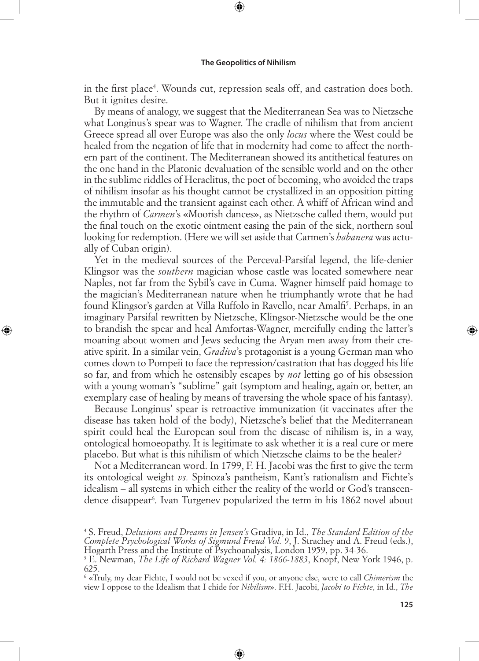⊕

in the first place<sup>4</sup>. Wounds cut, repression seals off, and castration does both. But it ignites desire.

By means of analogy, we suggest that the Mediterranean Sea was to Nietzsche what Longinus's spear was to Wagner. The cradle of nihilism that from ancient Greece spread all over Europe was also the only *locus* where the West could be healed from the negation of life that in modernity had come to affect the northern part of the continent. The Mediterranean showed its antithetical features on the one hand in the Platonic devaluation of the sensible world and on the other in the sublime riddles of Heraclitus, the poet of becoming, who avoided the traps of nihilism insofar as his thought cannot be crystallized in an opposition pitting the immutable and the transient against each other. A whiff of African wind and the rhythm of *Carmen*'s «Moorish dances», as Nietzsche called them, would put the final touch on the exotic ointment easing the pain of the sick, northern soul looking for redemption. (Here we will set aside that Carmen's *habanera* was actually of Cuban origin).

Yet in the medieval sources of the Perceval-Parsifal legend, the life-denier Klingsor was the *southern* magician whose castle was located somewhere near Naples, not far from the Sybil's cave in Cuma. Wagner himself paid homage to the magician's Mediterranean nature when he triumphantly wrote that he had found Klingsor's garden at Villa Ruffolo in Ravello, near Amalfi<sup>5</sup>. Perhaps, in an imaginary Parsifal rewritten by Nietzsche, Klingsor-Nietzsche would be the one to brandish the spear and heal Amfortas-Wagner, mercifully ending the latter's moaning about women and Jews seducing the Aryan men away from their creative spirit. In a similar vein, *Gradiva*'s protagonist is a young German man who comes down to Pompeii to face the repression/castration that has dogged his life so far, and from which he ostensibly escapes by *not* letting go of his obsession with a young woman's "sublime" gait (symptom and healing, again or, better, an exemplary case of healing by means of traversing the whole space of his fantasy).

◈

Because Longinus' spear is retroactive immunization (it vaccinates after the disease has taken hold of the body), Nietzsche's belief that the Mediterranean spirit could heal the European soul from the disease of nihilism is, in a way, ontological homoeopathy. It is legitimate to ask whether it is a real cure or mere placebo. But what is this nihilism of which Nietzsche claims to be the healer?

Not a Mediterranean word. In 1799, F. H. Jacobi was the first to give the term its ontological weight *vs.* Spinoza's pantheism, Kant's rationalism and Fichte's idealism – all systems in which either the reality of the world or God's transcendence disappear<sup>6</sup>. Ivan Turgenev popularized the term in his 1862 novel about

⊕

⊕

<sup>4</sup> S. Freud, *Delusions and Dreams in Jensen's* Gradiva, in Id., *The Standard Edition of the Complete Psychological Works of Sigmund Freud Vol. 9*, J. Strachey and A. Freud (eds.),

Hogarth Press and the Institute of Psychoanalysis, London 1959, pp. 34-36. 5 E. Newman, *The Life of Richard Wagner Vol. 4: 1866-1883*, Knopf, New York 1946, p. 625.

<sup>6</sup> «Truly, my dear Fichte, I would not be vexed if you, or anyone else, were to call *Chimerism* the view I oppose to the Idealism that I chide for *Nihilism*». F.H. Jacobi, *Jacobi to Fichte*, in Id., *The*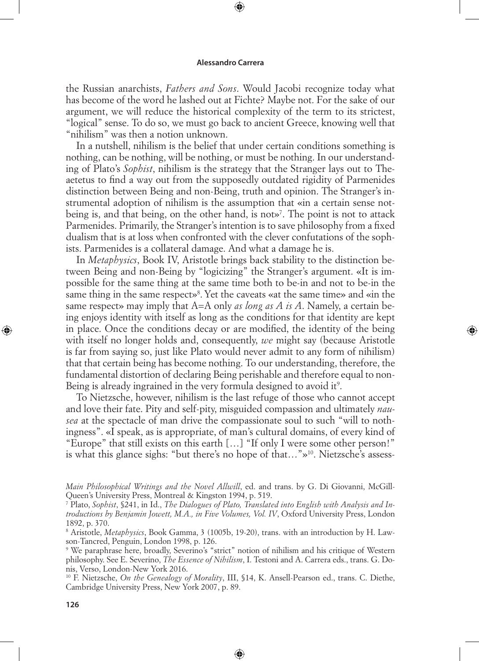⊕

the Russian anarchists, *Fathers and Sons*. Would Jacobi recognize today what has become of the word he lashed out at Fichte? Maybe not. For the sake of our argument, we will reduce the historical complexity of the term to its strictest, "logical" sense. To do so, we must go back to ancient Greece, knowing well that "nihilism" was then a notion unknown.

In a nutshell, nihilism is the belief that under certain conditions something is nothing, can be nothing, will be nothing, or must be nothing. In our understanding of Plato's *Sophist*, nihilism is the strategy that the Stranger lays out to Theaetetus to find a way out from the supposedly outdated rigidity of Parmenides distinction between Being and non-Being, truth and opinion. The Stranger's instrumental adoption of nihilism is the assumption that «in a certain sense notbeing is, and that being, on the other hand, is not»7 . The point is not to attack Parmenides. Primarily, the Stranger's intention is to save philosophy from a fixed dualism that is at loss when confronted with the clever confutations of the sophists. Parmenides is a collateral damage. And what a damage he is.

In *Metaphysics*, Book IV, Aristotle brings back stability to the distinction between Being and non-Being by "logicizing" the Stranger's argument. «It is impossible for the same thing at the same time both to be-in and not to be-in the same thing in the same respect»<sup>8</sup>. Yet the caveats «at the same time» and «in the same respect» may imply that A=A only *as long as A is A*. Namely, a certain being enjoys identity with itself as long as the conditions for that identity are kept in place. Once the conditions decay or are modified, the identity of the being with itself no longer holds and, consequently, *we* might say (because Aristotle is far from saying so, just like Plato would never admit to any form of nihilism) that that certain being has become nothing. To our understanding, therefore, the fundamental distortion of declaring Being perishable and therefore equal to non-Being is already ingrained in the very formula designed to avoid it<sup>9</sup>.

◈

To Nietzsche, however, nihilism is the last refuge of those who cannot accept and love their fate. Pity and self-pity, misguided compassion and ultimately *nausea* at the spectacle of man drive the compassionate soul to such "will to nothingness". «I speak, as is appropriate, of man's cultural domains, of every kind of "Europe" that still exists on this earth […] "If only I were some other person!" is what this glance sighs: "but there's no hope of that…"»10. Nietzsche's assess-

⊕

*Main Philosophical Writings and the Novel Allwill*, ed. and trans. by G. Di Giovanni, McGill-Queen's University Press, Montreal & Kingston 1994, p. 519.

<sup>7</sup> Plato, *Sophist*, §241, in Id., *The Dialogues of Plato, Translated into English with Analysis and Introductions by Benjamin Jowett, M.A., in Five Volumes, Vol. IV*, Oxford University Press, London 1892, p. 370.

<sup>8</sup> Aristotle, *Metaphysics*, Book Gamma, 3 (1005b, 19-20), trans. with an introduction by H. Lawson-Tancred, Penguin, London 1998, p. 126.

<sup>9</sup> We paraphrase here, broadly, Severino's "strict" notion of nihilism and his critique of Western philosophy. See E. Severino, *The Essence of Nihilism*, I. Testoni and A. Carrera eds., trans. G. Donis, Verso, London-New York 2016.

<sup>10</sup> F. Nietzsche, *On the Genealogy of Morality*, III, §14, K. Ansell-Pearson ed., trans. C. Diethe, Cambridge University Press, New York 2007, p. 89.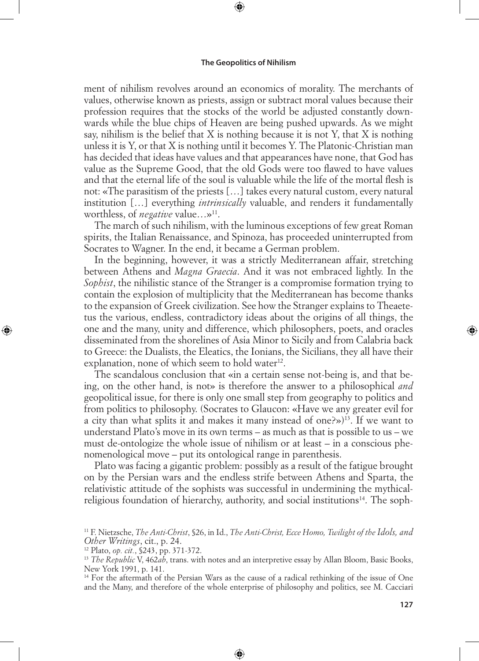⊕

ment of nihilism revolves around an economics of morality. The merchants of values, otherwise known as priests, assign or subtract moral values because their profession requires that the stocks of the world be adjusted constantly downwards while the blue chips of Heaven are being pushed upwards. As we might say, nihilism is the belief that  $X$  is nothing because it is not  $Y$ , that  $X$  is nothing unless it is Y, or that X is nothing until it becomes Y. The Platonic-Christian man has decided that ideas have values and that appearances have none, that God has value as the Supreme Good, that the old Gods were too flawed to have values and that the eternal life of the soul is valuable while the life of the mortal flesh is not: «The parasitism of the priests […] takes every natural custom, every natural institution […] everything *intrinsically* valuable, and renders it fundamentally worthless, of *negative* value...»<sup>11</sup>.

The march of such nihilism, with the luminous exceptions of few great Roman spirits, the Italian Renaissance, and Spinoza, has proceeded uninterrupted from Socrates to Wagner. In the end, it became a German problem.

In the beginning, however, it was a strictly Mediterranean affair, stretching between Athens and *Magna Graecia*. And it was not embraced lightly. In the *Sophist*, the nihilistic stance of the Stranger is a compromise formation trying to contain the explosion of multiplicity that the Mediterranean has become thanks to the expansion of Greek civilization. See how the Stranger explains to Theaetetus the various, endless, contradictory ideas about the origins of all things, the one and the many, unity and difference, which philosophers, poets, and oracles disseminated from the shorelines of Asia Minor to Sicily and from Calabria back to Greece: the Dualists, the Eleatics, the Ionians, the Sicilians, they all have their explanation, none of which seem to hold water $12$ .

The scandalous conclusion that «in a certain sense not-being is, and that being, on the other hand, is not» is therefore the answer to a philosophical *and* geopolitical issue, for there is only one small step from geography to politics and from politics to philosophy. (Socrates to Glaucon: «Have we any greater evil for a city than what splits it and makes it many instead of one?»)<sup>13</sup>. If we want to understand Plato's move in its own terms – as much as that is possible to us – we must de-ontologize the whole issue of nihilism or at least – in a conscious phenomenological move – put its ontological range in parenthesis.

Plato was facing a gigantic problem: possibly as a result of the fatigue brought on by the Persian wars and the endless strife between Athens and Sparta, the relativistic attitude of the sophists was successful in undermining the mythicalreligious foundation of hierarchy, authority, and social institutions14. The soph-

◈

⊕

<sup>11</sup> F. Nietzsche, *The Anti-Christ*, §26, in Id., *The Anti-Christ, Ecce Homo, Twilight of the Idols, and Other Writings*, cit., p. 24.

<sup>12</sup> Plato, *op. cit.*, §243, pp. 371-372.

<sup>13</sup> *The Republic* V, 462*ab*, trans. with notes and an interpretive essay by Allan Bloom, Basic Books, New York 1991, p. 141.

<sup>&</sup>lt;sup>14</sup> For the aftermath of the Persian Wars as the cause of a radical rethinking of the issue of One and the Many, and therefore of the whole enterprise of philosophy and politics, see M. Cacciari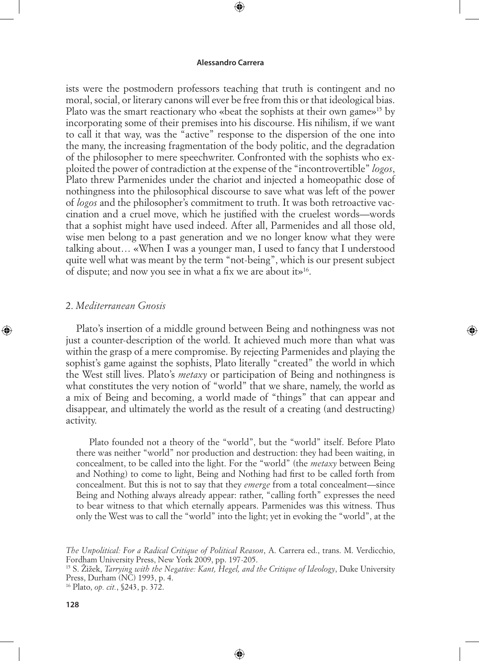⊕

ists were the postmodern professors teaching that truth is contingent and no moral, social, or literary canons will ever be free from this or that ideological bias. Plato was the smart reactionary who «beat the sophists at their own game»15 by incorporating some of their premises into his discourse. His nihilism, if we want to call it that way, was the "active" response to the dispersion of the one into the many, the increasing fragmentation of the body politic, and the degradation of the philosopher to mere speechwriter. Confronted with the sophists who exploited the power of contradiction at the expense of the "incontrovertible" *logos*, Plato threw Parmenides under the chariot and injected a homeopathic dose of nothingness into the philosophical discourse to save what was left of the power of *logos* and the philosopher's commitment to truth. It was both retroactive vaccination and a cruel move, which he justified with the cruelest words—words that a sophist might have used indeed. After all, Parmenides and all those old, wise men belong to a past generation and we no longer know what they were talking about… «When I was a younger man, I used to fancy that I understood quite well what was meant by the term "not-being", which is our present subject of dispute; and now you see in what a fix we are about it»16.

# 2. *Mediterranean Gnosis*

◈

Plato's insertion of a middle ground between Being and nothingness was not just a counter-description of the world. It achieved much more than what was within the grasp of a mere compromise. By rejecting Parmenides and playing the sophist's game against the sophists, Plato literally "created" the world in which the West still lives. Plato's *metaxy* or participation of Being and nothingness is what constitutes the very notion of "world" that we share, namely, the world as a mix of Being and becoming, a world made of "things" that can appear and disappear, and ultimately the world as the result of a creating (and destructing) activity.

◈

Plato founded not a theory of the "world", but the "world" itself. Before Plato there was neither "world" nor production and destruction: they had been waiting, in concealment, to be called into the light. For the "world" (the *metaxy* between Being and Nothing) to come to light, Being and Nothing had first to be called forth from concealment. But this is not to say that they *emerge* from a total concealment—since Being and Nothing always already appear: rather, "calling forth" expresses the need to bear witness to that which eternally appears. Parmenides was this witness. Thus only the West was to call the "world" into the light; yet in evoking the "world", at the

 $\bigoplus$ 

*The Unpolitical: For a Radical Critique of Political Reason*, A. Carrera ed., trans. M. Verdicchio, Fordham University Press, New York 2009, pp. 197-205.

<sup>15</sup> S. Žižek, *Tarrying with the Negative: Kant, Hegel, and the Critique of Ideology*, Duke University Press, Durham (NC) 1993, p. 4.

<sup>16</sup> Plato, *op. cit.*, §243, p. 372.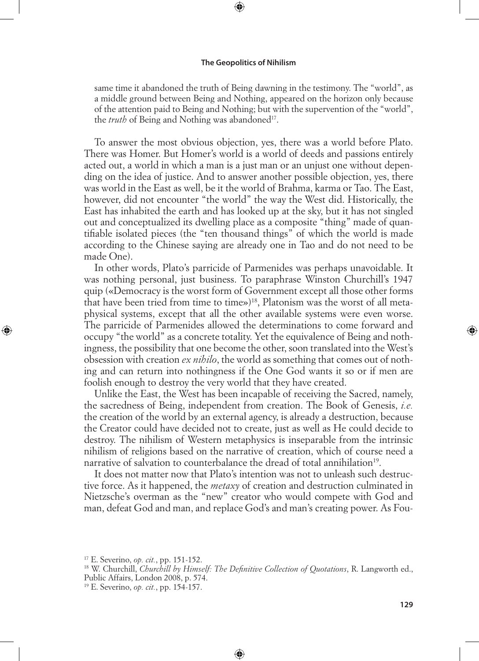⊕

same time it abandoned the truth of Being dawning in the testimony. The "world", as a middle ground between Being and Nothing, appeared on the horizon only because of the attention paid to Being and Nothing; but with the supervention of the "world", the *truth* of Being and Nothing was abandoned<sup>17</sup>.

To answer the most obvious objection, yes, there was a world before Plato. There was Homer. But Homer's world is a world of deeds and passions entirely acted out, a world in which a man is a just man or an unjust one without depending on the idea of justice. And to answer another possible objection, yes, there was world in the East as well, be it the world of Brahma, karma or Tao. The East, however, did not encounter "the world" the way the West did. Historically, the East has inhabited the earth and has looked up at the sky, but it has not singled out and conceptualized its dwelling place as a composite "thing" made of quantifiable isolated pieces (the "ten thousand things" of which the world is made according to the Chinese saying are already one in Tao and do not need to be made One).

In other words, Plato's parricide of Parmenides was perhaps unavoidable. It was nothing personal, just business. To paraphrase Winston Churchill's 1947 quip («Democracy is the worst form of Government except all those other forms that have been tried from time to time»)18, Platonism was the worst of all metaphysical systems, except that all the other available systems were even worse. The parricide of Parmenides allowed the determinations to come forward and occupy "the world" as a concrete totality. Yet the equivalence of Being and nothingness, the possibility that one become the other, soon translated into the West's obsession with creation *ex nihilo*, the world as something that comes out of nothing and can return into nothingness if the One God wants it so or if men are foolish enough to destroy the very world that they have created.

Unlike the East, the West has been incapable of receiving the Sacred, namely, the sacredness of Being, independent from creation. The Book of Genesis, *i.e.* the creation of the world by an external agency, is already a destruction, because the Creator could have decided not to create, just as well as He could decide to destroy. The nihilism of Western metaphysics is inseparable from the intrinsic nihilism of religions based on the narrative of creation, which of course need a narrative of salvation to counterbalance the dread of total annihilation<sup>19</sup>.

It does not matter now that Plato's intention was not to unleash such destructive force. As it happened, the *metaxy* of creation and destruction culminated in Nietzsche's overman as the "new" creator who would compete with God and man, defeat God and man, and replace God's and man's creating power. As Fou-

◈

⊕

<sup>17</sup> E. Severino, *op. cit.*, pp. 151-152.

<sup>18</sup> W. Churchill, *Churchill by Himself: The Definitive Collection of Quotations*, R. Langworth ed., Public Affairs, London 2008, p. 574.

<sup>19</sup> E. Severino, *op. cit.*, pp. 154-157.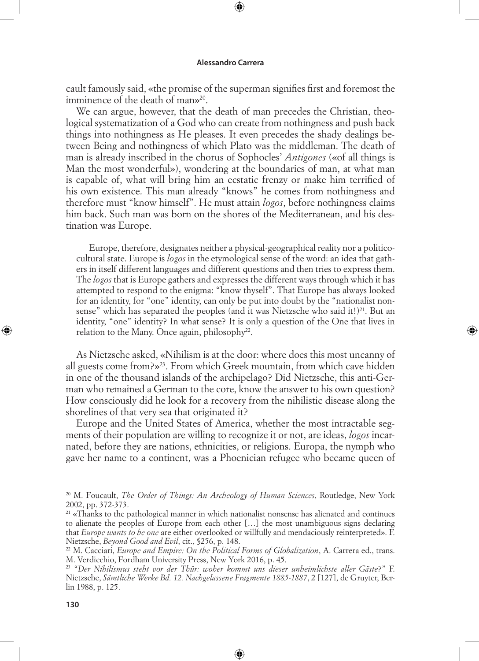⊕

cault famously said, «the promise of the superman signifies first and foremost the imminence of the death of man»<sup>20</sup>.

We can argue, however, that the death of man precedes the Christian, theological systematization of a God who can create from nothingness and push back things into nothingness as He pleases. It even precedes the shady dealings between Being and nothingness of which Plato was the middleman. The death of man is already inscribed in the chorus of Sophocles' *Antigones* («of all things is Man the most wonderful»), wondering at the boundaries of man, at what man is capable of, what will bring him an ecstatic frenzy or make him terrified of his own existence. This man already "knows" he comes from nothingness and therefore must "know himself". He must attain *logos*, before nothingness claims him back. Such man was born on the shores of the Mediterranean, and his destination was Europe.

Europe, therefore, designates neither a physical-geographical reality nor a politicocultural state. Europe is *logos* in the etymological sense of the word: an idea that gathers in itself different languages and different questions and then tries to express them. The *logos* that is Europe gathers and expresses the different ways through which it has attempted to respond to the enigma: "know thyself". That Europe has always looked for an identity, for "one" identity, can only be put into doubt by the "nationalist nonsense" which has separated the peoples (and it was Nietzsche who said it!) $^{21}$ . But an identity, "one" identity? In what sense? It is only a question of the One that lives in relation to the Many. Once again, philosophy<sup>22</sup>.

◈

As Nietzsche asked, «Nihilism is at the door: where does this most uncanny of all guests come from?»23. From which Greek mountain, from which cave hidden in one of the thousand islands of the archipelago? Did Nietzsche, this anti-German who remained a German to the core, know the answer to his own question? How consciously did he look for a recovery from the nihilistic disease along the shorelines of that very sea that originated it?

Europe and the United States of America, whether the most intractable segments of their population are willing to recognize it or not, are ideas, *logos* incarnated, before they are nations, ethnicities, or religions. Europa, the nymph who gave her name to a continent, was a Phoenician refugee who became queen of

⊕

<sup>20</sup> M. Foucault, *The Order of Things: An Archeology of Human Sciences*, Routledge, New York 2002, pp. 372-373.

 $21$  «Thanks to the pathological manner in which nationalist nonsense has alienated and continues to alienate the peoples of Europe from each other […] the most unambiguous signs declaring that *Europe wants to be one* are either overlooked or willfully and mendaciously reinterpreted». F. Nietzsche, *Beyond Good and Evil*, cit., §256, p. 148.

<sup>22</sup> M. Cacciari, *Europe and Empire: On the Political Forms of Globalization*, A. Carrera ed., trans. M. Verdicchio, Fordham University Press, New York 2016, p. 45.

<sup>23 &</sup>quot;*Der Nihilismus steht vor der Thür: woher kommt uns dieser unheimlichste aller Gäste*?" F. Nietzsche, *Sämtliche Werke Bd. 12. Nachgelassene Fragmente 1885-1887*, 2 [127], de Gruyter, Berlin 1988, p. 125.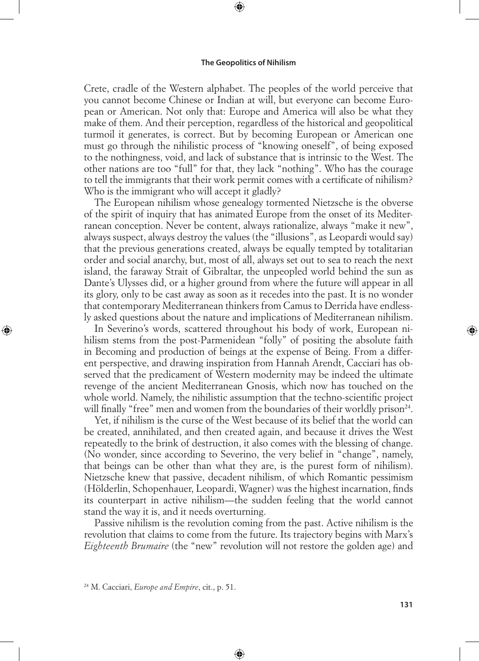⊕

Crete, cradle of the Western alphabet. The peoples of the world perceive that you cannot become Chinese or Indian at will, but everyone can become European or American. Not only that: Europe and America will also be what they make of them. And their perception, regardless of the historical and geopolitical turmoil it generates, is correct. But by becoming European or American one must go through the nihilistic process of "knowing oneself", of being exposed to the nothingness, void, and lack of substance that is intrinsic to the West. The other nations are too "full" for that, they lack "nothing". Who has the courage to tell the immigrants that their work permit comes with a certificate of nihilism? Who is the immigrant who will accept it gladly?

The European nihilism whose genealogy tormented Nietzsche is the obverse of the spirit of inquiry that has animated Europe from the onset of its Mediterranean conception. Never be content, always rationalize, always "make it new", always suspect, always destroy the values (the "illusions", as Leopardi would say) that the previous generations created, always be equally tempted by totalitarian order and social anarchy, but, most of all, always set out to sea to reach the next island, the faraway Strait of Gibraltar, the unpeopled world behind the sun as Dante's Ulysses did, or a higher ground from where the future will appear in all its glory, only to be cast away as soon as it recedes into the past. It is no wonder that contemporary Mediterranean thinkers from Camus to Derrida have endlessly asked questions about the nature and implications of Mediterranean nihilism.

In Severino's words, scattered throughout his body of work, European nihilism stems from the post-Parmenidean "folly" of positing the absolute faith in Becoming and production of beings at the expense of Being. From a different perspective, and drawing inspiration from Hannah Arendt, Cacciari has observed that the predicament of Western modernity may be indeed the ultimate revenge of the ancient Mediterranean Gnosis, which now has touched on the whole world. Namely, the nihilistic assumption that the techno-scientific project will finally "free" men and women from the boundaries of their worldly prison<sup>24</sup>.

Yet, if nihilism is the curse of the West because of its belief that the world can be created, annihilated, and then created again, and because it drives the West repeatedly to the brink of destruction, it also comes with the blessing of change. (No wonder, since according to Severino, the very belief in "change", namely, that beings can be other than what they are, is the purest form of nihilism). Nietzsche knew that passive, decadent nihilism, of which Romantic pessimism (Hölderlin, Schopenhauer, Leopardi, Wagner) was the highest incarnation, finds its counterpart in active nihilism—the sudden feeling that the world cannot stand the way it is, and it needs overturning.

Passive nihilism is the revolution coming from the past. Active nihilism is the revolution that claims to come from the future. Its trajectory begins with Marx's *Eighteenth Brumaire* (the "new" revolution will not restore the golden age) and

⊕

◈

<sup>24</sup> M. Cacciari, *Europe and Empire*, cit., p. 51.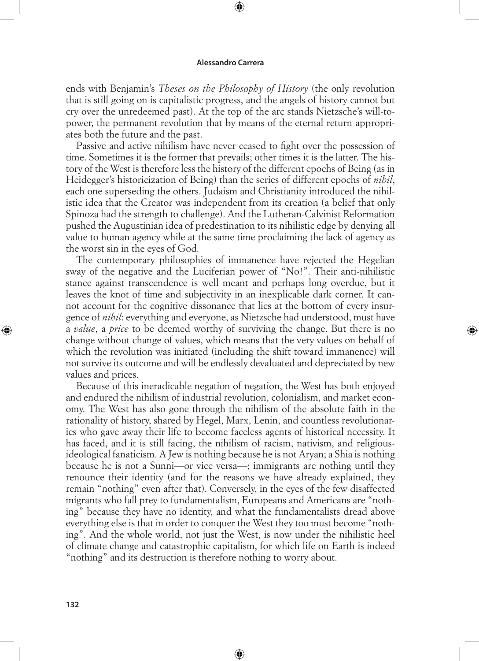⊕

ends with Benjamin's *Theses on the Philosophy of History* (the only revolution that is still going on is capitalistic progress, and the angels of history cannot but cry over the unredeemed past). At the top of the arc stands Nietzsche's will-topower, the permanent revolution that by means of the eternal return appropriates both the future and the past.

Passive and active nihilism have never ceased to fight over the possession of time. Sometimes it is the former that prevails; other times it is the latter. The history of the West is therefore less the history of the different epochs of Being (as in Heidegger's historicization of Being) than the series of different epochs of *nihil*, each one superseding the others. Judaism and Christianity introduced the nihilistic idea that the Creator was independent from its creation (a belief that only Spinoza had the strength to challenge). And the Lutheran-Calvinist Reformation pushed the Augustinian idea of predestination to its nihilistic edge by denying all value to human agency while at the same time proclaiming the lack of agency as the worst sin in the eyes of God.

The contemporary philosophies of immanence have rejected the Hegelian sway of the negative and the Luciferian power of "No!". Their anti-nihilistic stance against transcendence is well meant and perhaps long overdue, but it leaves the knot of time and subjectivity in an inexplicable dark corner. It cannot account for the cognitive dissonance that lies at the bottom of every insurgence of *nihil*: everything and everyone, as Nietzsche had understood, must have a *value*, a *price* to be deemed worthy of surviving the change. But there is no change without change of values, which means that the very values on behalf of which the revolution was initiated (including the shift toward immanence) will not survive its outcome and will be endlessly devaluated and depreciated by new values and prices.

⊕

Because of this ineradicable negation of negation, the West has both enjoyed and endured the nihilism of industrial revolution, colonialism, and market economy. The West has also gone through the nihilism of the absolute faith in the rationality of history, shared by Hegel, Marx, Lenin, and countless revolutionaries who gave away their life to become faceless agents of historical necessity. It has faced, and it is still facing, the nihilism of racism, nativism, and religiousideological fanaticism. A Jew is nothing because he is not Aryan; a Shia is nothing because he is not a Sunni—or vice versa—; immigrants are nothing until they renounce their identity (and for the reasons we have already explained, they remain "nothing" even after that). Conversely, in the eyes of the few disaffected migrants who fall prey to fundamentalism, Europeans and Americans are "nothing" because they have no identity, and what the fundamentalists dread above everything else is that in order to conquer the West they too must become "nothing". And the whole world, not just the West, is now under the nihilistic heel of climate change and catastrophic capitalism, for which life on Earth is indeed "nothing" and its destruction is therefore nothing to worry about.

⊕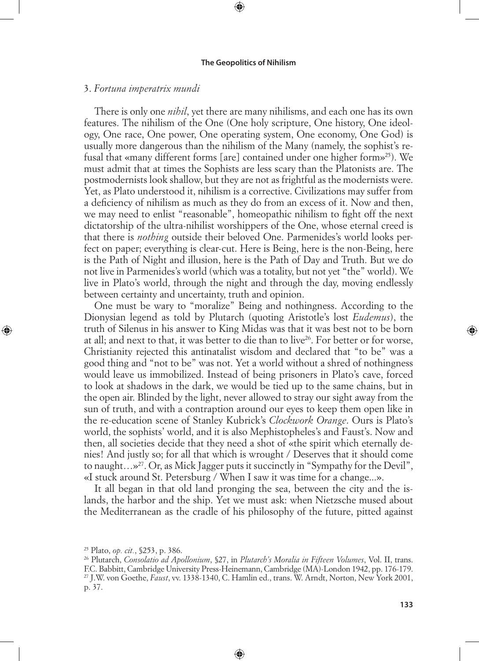⊕

## 3. *Fortuna imperatrix mundi*

There is only one *nihil*, yet there are many nihilisms, and each one has its own features. The nihilism of the One (One holy scripture, One history, One ideology, One race, One power, One operating system, One economy, One God) is usually more dangerous than the nihilism of the Many (namely, the sophist's refusal that «many different forms [are] contained under one higher form»25). We must admit that at times the Sophists are less scary than the Platonists are. The postmodernists look shallow, but they are not as frightful as the modernists were. Yet, as Plato understood it, nihilism is a corrective. Civilizations may suffer from a deficiency of nihilism as much as they do from an excess of it. Now and then, we may need to enlist "reasonable", homeopathic nihilism to fight off the next dictatorship of the ultra-nihilist worshippers of the One, whose eternal creed is that there is *nothing* outside their beloved One. Parmenides's world looks perfect on paper; everything is clear-cut. Here is Being, here is the non-Being, here is the Path of Night and illusion, here is the Path of Day and Truth. But we do not live in Parmenides's world (which was a totality, but not yet "the" world). We live in Plato's world, through the night and through the day, moving endlessly between certainty and uncertainty, truth and opinion.

One must be wary to "moralize" Being and nothingness. According to the Dionysian legend as told by Plutarch (quoting Aristotle's lost *Eudemus*), the truth of Silenus in his answer to King Midas was that it was best not to be born at all; and next to that, it was better to die than to live<sup>26</sup>. For better or for worse, Christianity rejected this antinatalist wisdom and declared that "to be" was a good thing and "not to be" was not. Yet a world without a shred of nothingness would leave us immobilized. Instead of being prisoners in Plato's cave, forced to look at shadows in the dark, we would be tied up to the same chains, but in the open air. Blinded by the light, never allowed to stray our sight away from the sun of truth, and with a contraption around our eyes to keep them open like in the re-education scene of Stanley Kubrick's *Clockwork Orange*. Ours is Plato's world, the sophists' world, and it is also Mephistopheles's and Faust's. Now and then, all societies decide that they need a shot of «the spirit which eternally denies! And justly so; for all that which is wrought / Deserves that it should come to naught...»<sup>27</sup>. Or, as Mick Jagger puts it succinctly in "Sympathy for the Devil", «I stuck around St. Petersburg / When I saw it was time for a change...».

It all began in that old land pronging the sea, between the city and the islands, the harbor and the ship. Yet we must ask: when Nietzsche mused about the Mediterranean as the cradle of his philosophy of the future, pitted against

◈

⊕

<sup>25</sup> Plato, *op. cit.*, §253, p. 386.

<sup>26</sup> Plutarch, *Consolatio ad Apollonium*, §27, in *Plutarch's Moralia in Fifteen Volumes*, Vol. II, trans. F.C. Babbitt, Cambridge University Press-Heinemann, Cambridge (MA)-London 1942, pp. 176-179. 27 J.W. von Goethe, *Faust*, vv. 1338-1340, C. Hamlin ed., trans. W. Arndt, Norton, New York 2001, p. 37.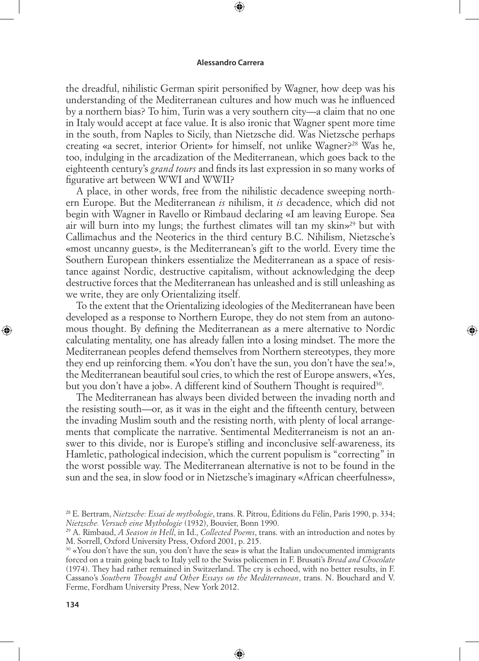⊕

the dreadful, nihilistic German spirit personified by Wagner, how deep was his understanding of the Mediterranean cultures and how much was he influenced by a northern bias? To him, Turin was a very southern city—a claim that no one in Italy would accept at face value. It is also ironic that Wagner spent more time in the south, from Naples to Sicily, than Nietzsche did. Was Nietzsche perhaps creating «a secret, interior Orient» for himself, not unlike Wagner?28 Was he, too, indulging in the arcadization of the Mediterranean, which goes back to the eighteenth century's *grand tours* and finds its last expression in so many works of figurative art between WWI and WWII?

A place, in other words, free from the nihilistic decadence sweeping northern Europe. But the Mediterranean *is* nihilism, it *is* decadence, which did not begin with Wagner in Ravello or Rimbaud declaring «I am leaving Europe. Sea air will burn into my lungs; the furthest climates will tan my skin»<sup>29</sup> but with Callimachus and the Neoterics in the third century B.C. Nihilism, Nietzsche's «most uncanny guest», is the Mediterranean's gift to the world. Every time the Southern European thinkers essentialize the Mediterranean as a space of resistance against Nordic, destructive capitalism, without acknowledging the deep destructive forces that the Mediterranean has unleashed and is still unleashing as we write, they are only Orientalizing itself.

To the extent that the Orientalizing ideologies of the Mediterranean have been developed as a response to Northern Europe, they do not stem from an autonomous thought. By defining the Mediterranean as a mere alternative to Nordic calculating mentality, one has already fallen into a losing mindset. The more the Mediterranean peoples defend themselves from Northern stereotypes, they more they end up reinforcing them. «You don't have the sun, you don't have the sea!», the Mediterranean beautiful soul cries, to which the rest of Europe answers, «Yes, but you don't have a job». A different kind of Southern Thought is required<sup>30</sup>.

⊕

The Mediterranean has always been divided between the invading north and the resisting south—or, as it was in the eight and the fifteenth century, between the invading Muslim south and the resisting north, with plenty of local arrangements that complicate the narrative. Sentimental Mediterraneism is not an answer to this divide, nor is Europe's stifling and inconclusive self-awareness, its Hamletic, pathological indecision, which the current populism is "correcting" in the worst possible way. The Mediterranean alternative is not to be found in the sun and the sea, in slow food or in Nietzsche's imaginary «African cheerfulness»,

⊕

<sup>28</sup> E. Bertram, *Nietzsche: Essai de mythologie*, trans. R. Pitrou, Éditions du Félin, Paris 1990, p. 334; *Nietzsche. Versuch eine Mythologie* (1932), Bouvier, Bonn 1990.

<sup>29</sup> A. Rimbaud, *A Season in Hell*, in Id., *Collected Poems*, trans. with an introduction and notes by M. Sorrell, Oxford University Press, Oxford 2001, p. 215.

 $30$  «You don't have the sun, you don't have the sea» is what the Italian undocumented immigrants forced on a train going back to Italy yell to the Swiss policemen in F. Brusati's *Bread and Chocolate* (1974). They had rather remained in Switzerland. The cry is echoed, with no better results, in F. Cassano's *Southern Thought and Other Essays on the Mediterranean*, trans. N. Bouchard and V. Ferme, Fordham University Press, New York 2012.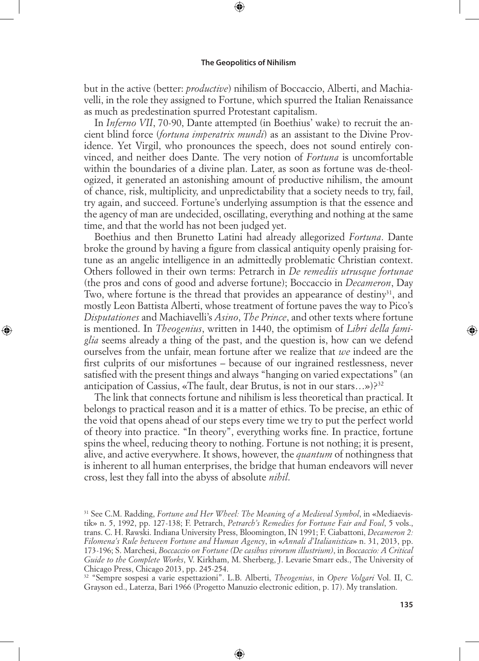⊕

but in the active (better: *productive*) nihilism of Boccaccio, Alberti, and Machiavelli, in the role they assigned to Fortune, which spurred the Italian Renaissance as much as predestination spurred Protestant capitalism.

In *Inferno VII*, 70-90, Dante attempted (in Boethius' wake) to recruit the ancient blind force (*fortuna imperatrix mundi*) as an assistant to the Divine Providence. Yet Virgil, who pronounces the speech, does not sound entirely convinced, and neither does Dante. The very notion of *Fortuna* is uncomfortable within the boundaries of a divine plan. Later, as soon as fortune was de-theologized, it generated an astonishing amount of productive nihilism, the amount of chance, risk, multiplicity, and unpredictability that a society needs to try, fail, try again, and succeed. Fortune's underlying assumption is that the essence and the agency of man are undecided, oscillating, everything and nothing at the same time, and that the world has not been judged yet.

Boethius and then Brunetto Latini had already allegorized *Fortuna*. Dante broke the ground by having a figure from classical antiquity openly praising fortune as an angelic intelligence in an admittedly problematic Christian context. Others followed in their own terms: Petrarch in *De remediis utrusque fortunae* (the pros and cons of good and adverse fortune); Boccaccio in *Decameron*, Day Two, where fortune is the thread that provides an appearance of destiny<sup>31</sup>, and mostly Leon Battista Alberti, whose treatment of fortune paves the way to Pico's *Disputationes* and Machiavelli's *Asino*, *The Prince*, and other texts where fortune is mentioned. In *Theogenius*, written in 1440, the optimism of *Libri della famiglia* seems already a thing of the past, and the question is, how can we defend ourselves from the unfair, mean fortune after we realize that *we* indeed are the first culprits of our misfortunes – because of our ingrained restlessness, never satisfied with the present things and always "hanging on varied expectations" (an anticipation of Cassius, «The fault, dear Brutus, is not in our stars...»)?<sup>32</sup>

◈

The link that connects fortune and nihilism is less theoretical than practical. It belongs to practical reason and it is a matter of ethics. To be precise, an ethic of the void that opens ahead of our steps every time we try to put the perfect world of theory into practice. "In theory", everything works fine. In practice, fortune spins the wheel, reducing theory to nothing. Fortune is not nothing; it is present, alive, and active everywhere. It shows, however, the *quantum* of nothingness that is inherent to all human enterprises, the bridge that human endeavors will never cross, lest they fall into the abyss of absolute *nihil*.

⊕

<sup>31</sup> See C.M. Radding, *Fortune and Her Wheel: The Meaning of a Medieval Symbol*, in «Mediaevistik» n. 5, 1992, pp. 127-138; F. Petrarch, *Petrarch's Remedies for Fortune Fair and Foul*, 5 vols., trans. C. H. Rawski. Indiana University Press, Bloomington, IN 1991; F. Ciabattoni, *Decameron 2: Filomena's Rule between Fortune and Human Agency*, in «*Annali d'Italianistica*» n. 31, 2013, pp. 173-196; S. Marchesi, *Boccaccio on Fortune (De casibus virorum illustrium)*, in *Boccaccio: A Critical Guide to the Complete Works*, V. Kirkham, M. Sherberg, J. Levarie Smarr eds., The University of Chicago Press, Chicago 2013, pp. 245-254.

<sup>32 &</sup>quot;Sempre sospesi a varie espettazioni". L.B. Alberti, *Theogenius*, in *Opere Volgari* Vol. II, C. Grayson ed., Laterza, Bari 1966 (Progetto Manuzio electronic edition, p. 17). My translation.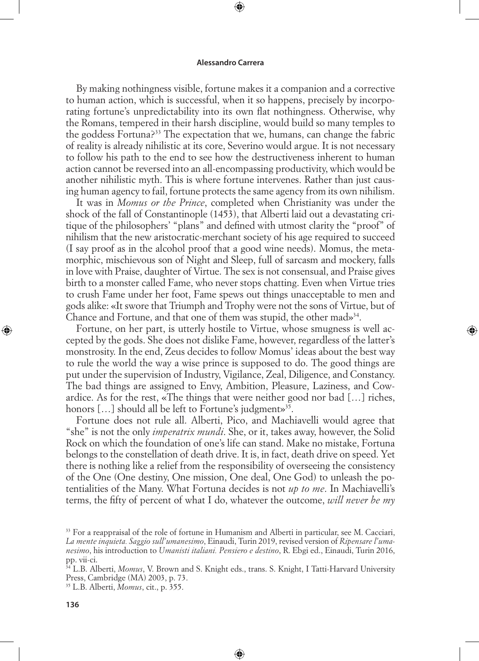⊕

By making nothingness visible, fortune makes it a companion and a corrective to human action, which is successful, when it so happens, precisely by incorporating fortune's unpredictability into its own flat nothingness. Otherwise, why the Romans, tempered in their harsh discipline, would build so many temples to the goddess Fortuna?33 The expectation that we, humans, can change the fabric of reality is already nihilistic at its core, Severino would argue. It is not necessary to follow his path to the end to see how the destructiveness inherent to human action cannot be reversed into an all-encompassing productivity, which would be another nihilistic myth. This is where fortune intervenes. Rather than just causing human agency to fail, fortune protects the same agency from its own nihilism.

It was in *Momus or the Prince*, completed when Christianity was under the shock of the fall of Constantinople (1453), that Alberti laid out a devastating critique of the philosophers' "plans" and defined with utmost clarity the "proof" of nihilism that the new aristocratic-merchant society of his age required to succeed (I say proof as in the alcohol proof that a good wine needs). Momus, the metamorphic, mischievous son of Night and Sleep, full of sarcasm and mockery, falls in love with Praise, daughter of Virtue. The sex is not consensual, and Praise gives birth to a monster called Fame, who never stops chatting. Even when Virtue tries to crush Fame under her foot, Fame spews out things unacceptable to men and gods alike: «It swore that Triumph and Trophy were not the sons of Virtue, but of Chance and Fortune, and that one of them was stupid, the other mad $\mathcal{P}^{34}$ .

Fortune, on her part, is utterly hostile to Virtue, whose smugness is well accepted by the gods. She does not dislike Fame, however, regardless of the latter's monstrosity. In the end, Zeus decides to follow Momus' ideas about the best way to rule the world the way a wise prince is supposed to do. The good things are put under the supervision of Industry, Vigilance, Zeal, Diligence, and Constancy. The bad things are assigned to Envy, Ambition, Pleasure, Laziness, and Cowardice. As for the rest, «The things that were neither good nor bad […] riches, honors [...] should all be left to Fortune's judgment»<sup>35</sup>.

⊕

Fortune does not rule all. Alberti, Pico, and Machiavelli would agree that "she" is not the only *imperatrix mundi*. She, or it, takes away, however, the Solid Rock on which the foundation of one's life can stand. Make no mistake, Fortuna belongs to the constellation of death drive. It is, in fact, death drive on speed. Yet there is nothing like a relief from the responsibility of overseeing the consistency of the One (One destiny, One mission, One deal, One God) to unleash the potentialities of the Many. What Fortuna decides is not *up to me*. In Machiavelli's terms, the fifty of percent of what I do, whatever the outcome, *will never be my* 

⊕

<sup>&</sup>lt;sup>33</sup> For a reappraisal of the role of fortune in Humanism and Alberti in particular, see M. Cacciari, *La mente inquieta. Saggio sull'umanesimo*, Einaudi, Turin 2019, revised version of *Ripensare l'umanesimo*, his introduction to *Umanisti italiani. Pensiero e destino*, R. Ebgi ed., Einaudi, Turin 2016, pp. vii-ci.

<sup>34</sup> L.B. Alberti, *Momus*, V. Brown and S. Knight eds., trans. S. Knight, I Tatti-Harvard University Press, Cambridge (MA) 2003, p. 73.

<sup>35</sup> L.B. Alberti, *Momus*, cit., p. 355.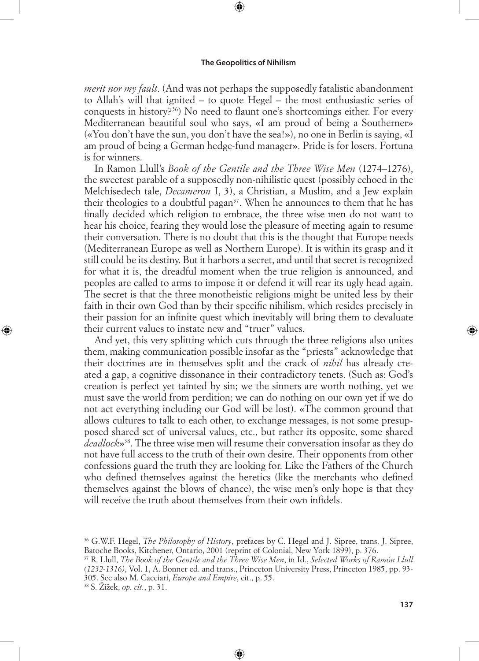⊕

*merit nor my fault*. (And was not perhaps the supposedly fatalistic abandonment to Allah's will that ignited – to quote Hegel – the most enthusiastic series of conquests in history?36) No need to flaunt one's shortcomings either. For every Mediterranean beautiful soul who says, «I am proud of being a Southerner» («You don't have the sun, you don't have the sea!»), no one in Berlin is saying, «I am proud of being a German hedge-fund manager». Pride is for losers. Fortuna is for winners.

In Ramon Llull's *Book of the Gentile and the Three Wise Men* (1274–1276), the sweetest parable of a supposedly non-nihilistic quest (possibly echoed in the Melchisedech tale, *Decameron* I, 3), a Christian, a Muslim, and a Jew explain their theologies to a doubtful pagan<sup>37</sup>. When he announces to them that he has finally decided which religion to embrace, the three wise men do not want to hear his choice, fearing they would lose the pleasure of meeting again to resume their conversation. There is no doubt that this is the thought that Europe needs (Mediterranean Europe as well as Northern Europe). It is within its grasp and it still could be its destiny. But it harbors a secret, and until that secret is recognized for what it is, the dreadful moment when the true religion is announced, and peoples are called to arms to impose it or defend it will rear its ugly head again. The secret is that the three monotheistic religions might be united less by their faith in their own God than by their specific nihilism, which resides precisely in their passion for an infinite quest which inevitably will bring them to devaluate their current values to instate new and "truer" values.

And yet, this very splitting which cuts through the three religions also unites them, making communication possible insofar as the "priests" acknowledge that their doctrines are in themselves split and the crack of *nihil* has already created a gap, a cognitive dissonance in their contradictory tenets. (Such as: God's creation is perfect yet tainted by sin; we the sinners are worth nothing, yet we must save the world from perdition; we can do nothing on our own yet if we do not act everything including our God will be lost). «The common ground that allows cultures to talk to each other, to exchange messages, is not some presupposed shared set of universal values, etc., but rather its opposite, some shared *deadlock*»38. The three wise men will resume their conversation insofar as they do not have full access to the truth of their own desire. Their opponents from other confessions guard the truth they are looking for. Like the Fathers of the Church who defined themselves against the heretics (like the merchants who defined themselves against the blows of chance), the wise men's only hope is that they will receive the truth about themselves from their own infidels.

37 R. Llull, *The Book of the Gentile and the Three Wise Men*, in Id., *Selected Works of Ramón Llull (1232-1316)*, Vol. 1, A. Bonner ed. and trans., Princeton University Press, Princeton 1985, pp. 93- 305. See also M. Cacciari, *Europe and Empire*, cit., p. 55.

⊕

38 S. Žižek, *op. cit.*, p. 31.

◈

<sup>36</sup> G.W.F. Hegel, *The Philosophy of History*, prefaces by C. Hegel and J. Sipree, trans. J. Sipree, Batoche Books, Kitchener, Ontario, 2001 (reprint of Colonial, New York 1899), p. 376.